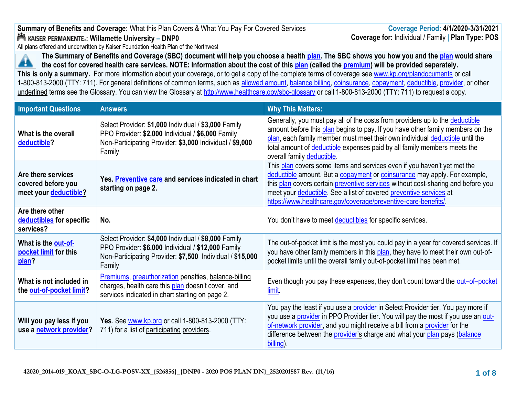# **Summary of Benefits and Coverage:** What this Plan Covers & What You Pay For Covered Services **: Willamette University – DNP0**

All plans offered and underwritten by Kaiser Foundation Health Plan of the Northwest



**The Summary of Benefits and Coverage (SBC) document will help you choose a health [plan.](https://www.healthcare.gov/sbc-glossary/#plan) The SBC shows you how you and the [plan](https://www.healthcare.gov/sbc-glossary/#plan) would share the cost for covered health care services. NOTE: Information about the cost of this [plan](https://www.healthcare.gov/sbc-glossary/#plan) (called the [premium\)](https://www.healthcare.gov/sbc-glossary/#premium) will be provided separately. This is only a summary.** For more information about your coverage, or to get a copy of the complete terms of coverage see [www.kp.org/plandocuments](http://www.kp.org/plandocuments) or call 1-800-813-2000 (TTY: 711). For general definitions of common terms, such as [allowed amount,](https://www.healthcare.gov/sbc-glossary/#allowed-amount) [balance billing,](https://www.healthcare.gov/sbc-glossary/#balance-billing) [coinsurance,](https://www.healthcare.gov/sbc-glossary/#coinsurance) [copayment,](https://www.healthcare.gov/sbc-glossary/#copayment) [deductible,](https://www.healthcare.gov/sbc-glossary/#deductible) [provider,](https://www.healthcare.gov/sbc-glossary/#provider) or other

underlined terms see the Glossary. You can view the Glossary at <http://www.healthcare.gov/sbc-glossary> or call 1-800-813-2000 (TTY: 711) to request a copy.

| <b>Important Questions</b>                                        | <b>Answers</b>                                                                                                                                                                    | <b>Why This Matters:</b>                                                                                                                                                                                                                                                                                                                                                         |
|-------------------------------------------------------------------|-----------------------------------------------------------------------------------------------------------------------------------------------------------------------------------|----------------------------------------------------------------------------------------------------------------------------------------------------------------------------------------------------------------------------------------------------------------------------------------------------------------------------------------------------------------------------------|
| What is the overall<br>deductible?                                | Select Provider: \$1,000 Individual / \$3,000 Family<br>PPO Provider: \$2,000 Individual / \$6,000 Family<br>Non-Participating Provider: \$3,000 Individual / \$9,000<br>Family   | Generally, you must pay all of the costs from providers up to the deductible<br>amount before this plan begins to pay. If you have other family members on the<br>plan, each family member must meet their own individual deductible until the<br>total amount of deductible expenses paid by all family members meets the<br>overall family deductible.                         |
| Are there services<br>covered before you<br>meet your deductible? | Yes. Preventive care and services indicated in chart<br>starting on page 2.                                                                                                       | This plan covers some items and services even if you haven't yet met the<br>deductible amount. But a copayment or coinsurance may apply. For example,<br>this plan covers certain preventive services without cost-sharing and before you<br>meet your deductible. See a list of covered preventive services at<br>https://www.healthcare.gov/coverage/preventive-care-benefits/ |
| Are there other<br>deductibles for specific<br>services?          | No.                                                                                                                                                                               | You don't have to meet deductibles for specific services.                                                                                                                                                                                                                                                                                                                        |
| What is the out-of-<br>pocket limit for this<br>plan?             | Select Provider: \$4,000 Individual / \$8,000 Family<br>PPO Provider: \$6,000 Individual / \$12,000 Family<br>Non-Participating Provider: \$7,500 Individual / \$15,000<br>Family | The out-of-pocket limit is the most you could pay in a year for covered services. If<br>you have other family members in this plan, they have to meet their own out-of-<br>pocket limits until the overall family out-of-pocket limit has been met.                                                                                                                              |
| What is not included in<br>the out-of-pocket limit?               | Premiums, preauthorization penalties, balance-billing<br>charges, health care this plan doesn't cover, and<br>services indicated in chart starting on page 2.                     | Even though you pay these expenses, they don't count toward the out-of-pocket<br>limit                                                                                                                                                                                                                                                                                           |
| Will you pay less if you<br>use a network provider?               | Yes. See www.kp.org or call 1-800-813-2000 (TTY:<br>711) for a list of participating providers.                                                                                   | You pay the least if you use a provider in Select Provider tier. You pay more if<br>you use a provider in PPO Provider tier. You will pay the most if you use an out-<br>of-network provider, and you might receive a bill from a provider for the<br>difference between the <i>provider's</i> charge and what your plan pays (balance<br>billing).                              |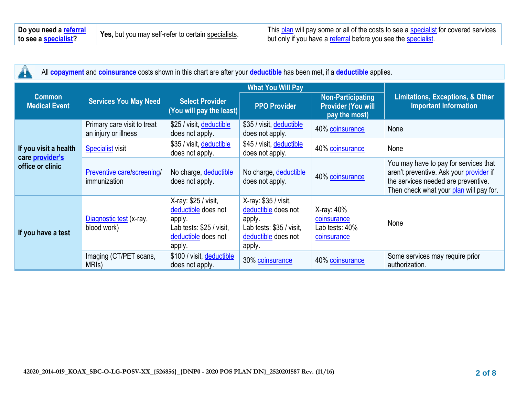All **[copayment](https://www.healthcare.gov/sbc-glossary/#copayment)** and **[coinsurance](https://www.healthcare.gov/sbc-glossary/#coinsurance)** costs shown in this chart are after your **[deductible](https://www.healthcare.gov/sbc-glossary/#deductible)** has been met, if a **[deductible](https://www.healthcare.gov/sbc-glossary/#deductible)** applies.

|                                            |                                                     | <b>What You Will Pay</b>                                                                                           |                                                                                                                    |                                                                        |                                                                                                                                                                    |
|--------------------------------------------|-----------------------------------------------------|--------------------------------------------------------------------------------------------------------------------|--------------------------------------------------------------------------------------------------------------------|------------------------------------------------------------------------|--------------------------------------------------------------------------------------------------------------------------------------------------------------------|
| <b>Common</b><br><b>Medical Event</b>      | <b>Services You May Need</b>                        | <b>Select Provider</b><br>(You will pay the least)                                                                 | <b>PPO Provider</b>                                                                                                | <b>Non-Participating</b><br><b>Provider (You will</b><br>pay the most) | <b>Limitations, Exceptions, &amp; Other</b><br><b>Important Information</b>                                                                                        |
|                                            | Primary care visit to treat<br>an injury or illness | \$25 / visit, deductible<br>does not apply.                                                                        | \$35 / visit, deductible<br>does not apply.                                                                        | 40% coinsurance                                                        | None                                                                                                                                                               |
| If you visit a health                      | <b>Specialist visit</b>                             | \$35 / visit, deductible<br>does not apply.                                                                        | \$45 / visit, deductible<br>does not apply.                                                                        | 40% coinsurance                                                        | None                                                                                                                                                               |
| care <i>provider's</i><br>office or clinic | Preventive care/screening/<br>immunization          | No charge, deductible<br>does not apply.                                                                           | No charge, deductible<br>does not apply.                                                                           | 40% coinsurance                                                        | You may have to pay for services that<br>aren't preventive. Ask your provider if<br>the services needed are preventive.<br>Then check what your plan will pay for. |
| If you have a test                         | Diagnostic test (x-ray,<br>blood work)              | X-ray: \$25 / visit,<br>deductible does not<br>apply.<br>Lab tests: \$25 / visit,<br>deductible does not<br>apply. | X-ray: \$35 / visit,<br>deductible does not<br>apply.<br>Lab tests: \$35 / visit,<br>deductible does not<br>apply. | X-ray: 40%<br>coinsurance<br>Lab tests: 40%<br>coinsurance             | None                                                                                                                                                               |
|                                            | Imaging (CT/PET scans,<br>MRI <sub>s</sub> )        | \$100 / visit, deductible<br>does not apply.                                                                       | 30% coinsurance                                                                                                    | 40% coinsurance                                                        | Some services may require prior<br>authorization.                                                                                                                  |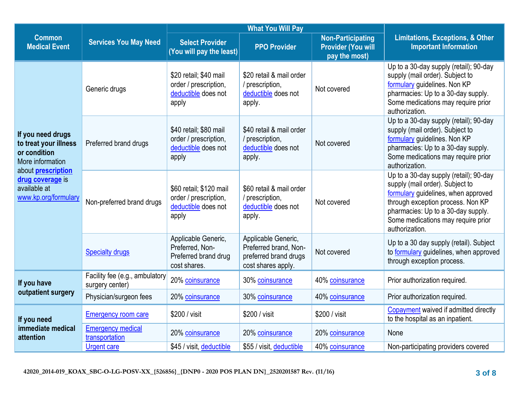|                                                                                       |                                                   | <b>What You Will Pay</b>                                                         |                                                                                             |                                                                        |                                                                                                                                                                                                                                                     |
|---------------------------------------------------------------------------------------|---------------------------------------------------|----------------------------------------------------------------------------------|---------------------------------------------------------------------------------------------|------------------------------------------------------------------------|-----------------------------------------------------------------------------------------------------------------------------------------------------------------------------------------------------------------------------------------------------|
| <b>Common</b><br><b>Medical Event</b>                                                 | <b>Services You May Need</b>                      | <b>Select Provider</b><br>(You will pay the least)                               | <b>PPO Provider</b>                                                                         | <b>Non-Participating</b><br><b>Provider (You will</b><br>pay the most) | <b>Limitations, Exceptions, &amp; Other</b><br><b>Important Information</b>                                                                                                                                                                         |
|                                                                                       | Generic drugs                                     | \$20 retail; \$40 mail<br>order / prescription,<br>deductible does not<br>apply  | \$20 retail & mail order<br>/ prescription,<br>deductible does not<br>apply.                | Not covered                                                            | Up to a 30-day supply (retail); 90-day<br>supply (mail order). Subject to<br>formulary guidelines. Non KP<br>pharmacies: Up to a 30-day supply.<br>Some medications may require prior<br>authorization.                                             |
| If you need drugs<br>to treat your illness<br>or condition<br>More information        | Preferred brand drugs                             | \$40 retail; \$80 mail<br>order / prescription,<br>deductible does not<br>apply  | \$40 retail & mail order<br>/ prescription,<br>deductible does not<br>apply.                | Not covered                                                            | Up to a 30-day supply (retail); 90-day<br>supply (mail order). Subject to<br>formulary guidelines. Non KP<br>pharmacies: Up to a 30-day supply.<br>Some medications may require prior<br>authorization.                                             |
| about <b>prescription</b><br>drug coverage is<br>available at<br>www.kp.org/formulary | Non-preferred brand drugs                         | \$60 retail; \$120 mail<br>order / prescription,<br>deductible does not<br>apply | \$60 retail & mail order<br>/ prescription,<br>deductible does not<br>apply.                | Not covered                                                            | Up to a 30-day supply (retail); 90-day<br>supply (mail order). Subject to<br>formulary guidelines, when approved<br>through exception process. Non KP<br>pharmacies: Up to a 30-day supply.<br>Some medications may require prior<br>authorization. |
|                                                                                       | <b>Specialty drugs</b>                            | Applicable Generic,<br>Preferred, Non-<br>Preferred brand drug<br>cost shares.   | Applicable Generic,<br>Preferred brand, Non-<br>preferred brand drugs<br>cost shares apply. | Not covered                                                            | Up to a 30 day supply (retail). Subject<br>to formulary guidelines, when approved<br>through exception process.                                                                                                                                     |
| If you have                                                                           | Facility fee (e.g., ambulatory<br>surgery center) | 20% coinsurance                                                                  | 30% coinsurance                                                                             | 40% coinsurance                                                        | Prior authorization required.                                                                                                                                                                                                                       |
| outpatient surgery                                                                    | Physician/surgeon fees                            | 20% coinsurance                                                                  | 30% coinsurance                                                                             | 40% coinsurance                                                        | Prior authorization required.                                                                                                                                                                                                                       |
| If you need                                                                           | <b>Emergency room care</b>                        | \$200 / visit                                                                    | \$200 / visit                                                                               | \$200 / visit                                                          | Copayment waived if admitted directly<br>to the hospital as an inpatient.                                                                                                                                                                           |
| immediate medical<br>attention                                                        | <b>Emergency medical</b><br>transportation        | 20% coinsurance                                                                  | 20% coinsurance                                                                             | 20% coinsurance                                                        | None                                                                                                                                                                                                                                                |
|                                                                                       | <b>Urgent care</b>                                | \$45 / visit, deductible                                                         | \$55 / visit, deductible                                                                    | 40% coinsurance                                                        | Non-participating providers covered                                                                                                                                                                                                                 |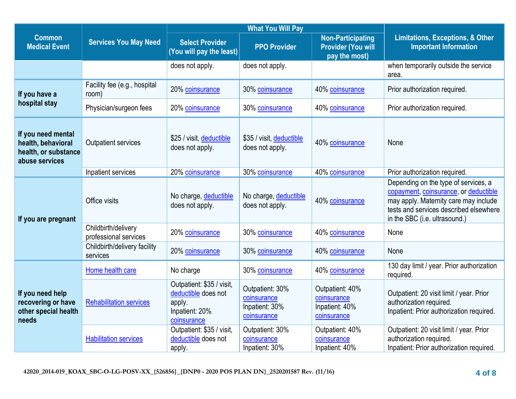|                                                                                    |                                              | <b>What You Will Pay</b>                                                                    |                                                                 |                                                                        |                                                                                                                                                                                                   |
|------------------------------------------------------------------------------------|----------------------------------------------|---------------------------------------------------------------------------------------------|-----------------------------------------------------------------|------------------------------------------------------------------------|---------------------------------------------------------------------------------------------------------------------------------------------------------------------------------------------------|
| <b>Common</b><br><b>Medical Event</b>                                              | <b>Services You May Need</b>                 | <b>Select Provider</b><br>(You will pay the least)                                          | <b>PPO Provider</b>                                             | <b>Non-Participating</b><br><b>Provider (You will</b><br>pay the most) | <b>Limitations, Exceptions, &amp; Other</b><br><b>Important Information</b>                                                                                                                       |
|                                                                                    |                                              | does not apply.                                                                             | does not apply.                                                 |                                                                        | when temporarily outside the service<br>area.                                                                                                                                                     |
| If you have a                                                                      | Facility fee (e.g., hospital<br>room)        | 20% coinsurance                                                                             | 30% coinsurance                                                 | 40% coinsurance                                                        | Prior authorization required.                                                                                                                                                                     |
| hospital stay                                                                      | Physician/surgeon fees                       | 20% coinsurance                                                                             | 30% coinsurance                                                 | 40% coinsurance                                                        | Prior authorization required.                                                                                                                                                                     |
| If you need mental<br>health, behavioral<br>health, or substance<br>abuse services | Outpatient services                          | \$25 / visit, deductible<br>does not apply.                                                 | \$35 / visit, deductible<br>does not apply.                     | 40% coinsurance                                                        | None                                                                                                                                                                                              |
|                                                                                    | Inpatient services                           | 20% coinsurance                                                                             | 30% coinsurance                                                 | 40% coinsurance                                                        | Prior authorization required.                                                                                                                                                                     |
| If you are pregnant                                                                | Office visits                                | No charge, deductible<br>does not apply.                                                    | No charge, deductible<br>does not apply.                        | 40% coinsurance                                                        | Depending on the type of services, a<br>copayment, coinsurance, or deductible<br>may apply. Maternity care may include<br>tests and services described elsewhere<br>in the SBC (i.e. ultrasound.) |
|                                                                                    | Childbirth/delivery<br>professional services | 20% coinsurance                                                                             | 30% coinsurance                                                 | 40% coinsurance                                                        | None                                                                                                                                                                                              |
|                                                                                    | Childbirth/delivery facility<br>services     | 20% coinsurance                                                                             | 30% coinsurance                                                 | 40% coinsurance                                                        | None                                                                                                                                                                                              |
|                                                                                    | Home health care                             | No charge                                                                                   | 30% coinsurance                                                 | 40% coinsurance                                                        | 130 day limit / year. Prior authorization<br>required.                                                                                                                                            |
| If you need help<br>recovering or have<br>other special health<br>needs            | <b>Rehabilitation services</b>               | Outpatient: \$35 / visit,<br>deductible does not<br>apply.<br>Inpatient: 20%<br>coinsurance | Outpatient: 30%<br>coinsurance<br>Inpatient: 30%<br>coinsurance | Outpatient: 40%<br>coinsurance<br>Inpatient: 40%<br>coinsurance        | Outpatient: 20 visit limit / year. Prior<br>authorization required.<br>Inpatient: Prior authorization required.                                                                                   |
|                                                                                    | <b>Habilitation services</b>                 | Outpatient: \$35 / visit,<br>deductible does not<br>apply.                                  | Outpatient: 30%<br>coinsurance<br>Inpatient: 30%                | Outpatient: 40%<br>coinsurance<br>Inpatient: 40%                       | Outpatient: 20 visit limit / year. Prior<br>authorization required.<br>Inpatient: Prior authorization required.                                                                                   |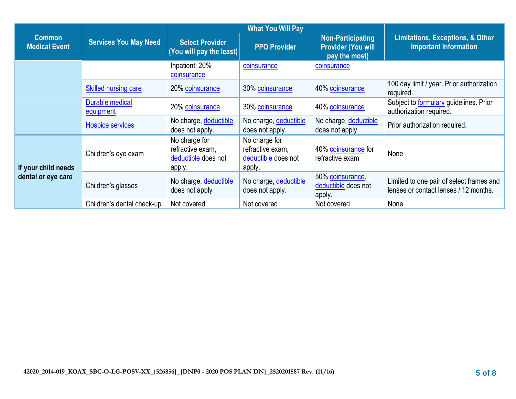|                                           |                                     | <b>What You Will Pay</b>                                           |                                                                    |                                                                        |                                                                                   |
|-------------------------------------------|-------------------------------------|--------------------------------------------------------------------|--------------------------------------------------------------------|------------------------------------------------------------------------|-----------------------------------------------------------------------------------|
| <b>Common</b><br><b>Medical Event</b>     | <b>Services You May Need</b>        | <b>Select Provider</b><br>(You will pay the least)                 | <b>PPO Provider</b>                                                | <b>Non-Participating</b><br><b>Provider (You will</b><br>pay the most) | <b>Limitations, Exceptions, &amp; Other</b><br><b>Important Information</b>       |
|                                           |                                     | Inpatient: 20%<br>coinsurance                                      | coinsurance                                                        | coinsurance                                                            |                                                                                   |
|                                           | <b>Skilled nursing care</b>         | 20% coinsurance                                                    | 30% coinsurance                                                    | 40% coinsurance                                                        | 100 day limit / year. Prior authorization<br>required.                            |
|                                           | <b>Durable medical</b><br>equipment | 20% coinsurance                                                    | 30% coinsurance                                                    | 40% coinsurance                                                        | Subject to <b>formulary</b> guidelines. Prior<br>authorization required.          |
|                                           | Hospice services                    | No charge, deductible<br>does not apply.                           | No charge, deductible<br>does not apply.                           | No charge, deductible<br>does not apply.                               | Prior authorization required.                                                     |
| If your child needs<br>dental or eye care | Children's eye exam                 | No charge for<br>refractive exam,<br>deductible does not<br>apply. | No charge for<br>refractive exam,<br>deductible does not<br>apply. | 40% coinsurance for<br>refractive exam                                 | None                                                                              |
|                                           | Children's glasses                  | No charge, deductible<br>does not apply                            | No charge, deductible<br>does not apply.                           | 50% coinsurance,<br>deductible does not<br>apply.                      | Limited to one pair of select frames and<br>lenses or contact lenses / 12 months. |
|                                           | Children's dental check-up          | Not covered                                                        | Not covered                                                        | Not covered                                                            | None                                                                              |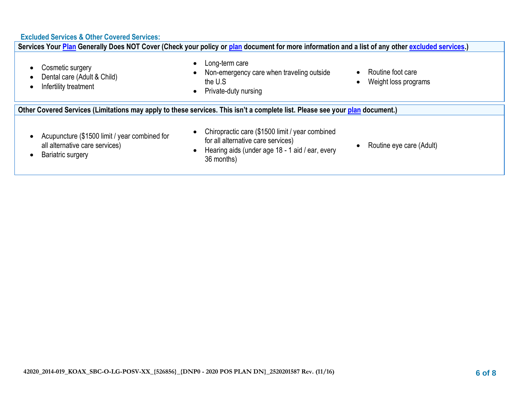# **Excluded Services & Other Covered Services:**

| Services Your Plan Generally Does NOT Cover (Check your policy or plan document for more information and a list of any other excluded services.) |                                                                                                                                                        |                                           |  |
|--------------------------------------------------------------------------------------------------------------------------------------------------|--------------------------------------------------------------------------------------------------------------------------------------------------------|-------------------------------------------|--|
| Cosmetic surgery<br>Dental care (Adult & Child)<br>Infertility treatment                                                                         | Long-term care<br>Non-emergency care when traveling outside<br>the U.S<br>Private-duty nursing                                                         | Routine foot care<br>Weight loss programs |  |
| Other Covered Services (Limitations may apply to these services. This isn't a complete list. Please see your plan document.)                     |                                                                                                                                                        |                                           |  |
| Acupuncture (\$1500 limit / year combined for<br>all alternative care services)<br>Bariatric surgery                                             | Chiropractic care (\$1500 limit / year combined<br>for all alternative care services)<br>Hearing aids (under age 18 - 1 aid / ear, every<br>36 months) | Routine eye care (Adult)                  |  |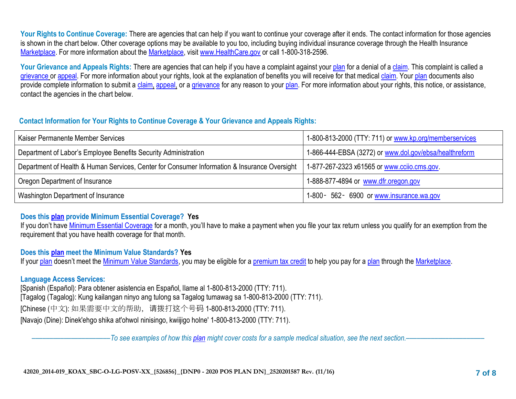Your Rights to Continue Coverage: There are agencies that can help if you want to continue your coverage after it ends. The contact information for those agencies is shown in the chart below. Other coverage options may be available to you too, including buying individual insurance coverage through the Health Insurance [Marketplace.](https://www.healthcare.gov/sbc-glossary/#marketplace) For more information about the [Marketplace,](https://www.healthcare.gov/sbc-glossary/#marketplace) visit [www.HealthCare.gov](http://www.healthcare.gov/) or call 1-800-318-2596.

Your Grievance and Appeals Rights: There are agencies that can help if you have a complaint against your [plan](https://www.healthcare.gov/sbc-glossary/#plan) for a denial of a [claim.](https://www.healthcare.gov/sbc-glossary/#claim) This complaint is called a [grievance](https://www.healthcare.gov/sbc-glossary/#grievance) or [appeal.](https://www.healthcare.gov/sbc-glossary/#appeal) For more information about your rights, look at the explanation of benefits you will receive for that medical [claim.](https://www.healthcare.gov/sbc-glossary/#claim) Your [plan](https://www.healthcare.gov/sbc-glossary/#plan) documents also provide complete information to submit a [claim,](https://www.healthcare.gov/sbc-glossary/#claim) [appeal,](https://www.healthcare.gov/sbc-glossary/#appeal) or a [grievance](https://www.healthcare.gov/sbc-glossary/#grievance) for any reason to your [plan.](https://www.healthcare.gov/sbc-glossary/#plan) For more information about your rights, this notice, or assistance, contact the agencies in the chart below.

### **Contact Information for Your Rights to Continue Coverage & Your Grievance and Appeals Rights:**

| Kaiser Permanente Member Services                                                            | 1-800-813-2000 (TTY: 711) or www.kp.org/memberservices |
|----------------------------------------------------------------------------------------------|--------------------------------------------------------|
| Department of Labor's Employee Benefits Security Administration                              | 1-866-444-EBSA (3272) or www.dol.gov/ebsa/healthreform |
| Department of Health & Human Services, Center for Consumer Information & Insurance Oversight | 1-877-267-2323 x61565 or www.ccijo.cms.gov             |
| Oregon Department of Insurance                                                               | 1-888-877-4894 or www.dfr.oregon.gov                   |
| Washington Department of Insurance                                                           | 1-800 - 562 - 6900 or www.insurance.wa.gov             |

## **Does this [plan](https://www.healthcare.gov/sbc-glossary/#plan) provide Minimum Essential Coverage? Yes**

If you don't have [Minimum Essential Coverage](https://www.healthcare.gov/sbc-glossary/#minimum-essential-coverage) for a month, you'll have to make a payment when you file your tax return unless you qualify for an exemption from the requirement that you have health coverage for that month.

## **Does this [plan](https://www.healthcare.gov/sbc-glossary/#plan) meet the Minimum Value Standards? Yes**

If your [plan](https://www.healthcare.gov/sbc-glossary/#plan) doesn't meet the [Minimum Value Standards,](https://www.healthcare.gov/sbc-glossary/#minimum-value-standard) you may be eligible for a [premium tax credit](https://www.healthcare.gov/sbc-glossary/#premium-tax-credits) to help you pay for a [plan](https://www.healthcare.gov/sbc-glossary/#plan) through the [Marketplace.](https://www.healthcare.gov/sbc-glossary/#marketplace)

## **Language Access Services:**

[Spanish (Español): Para obtener asistencia en Español, llame al 1-800-813-2000 (TTY: 711). [Tagalog (Tagalog): Kung kailangan ninyo ang tulong sa Tagalog tumawag sa 1-800-813-2000 (TTY: 711). [Chinese (中文): 如果需要中文的帮助,请拨打这个号码 1-800-813-2000 (TTY: 711). [Navajo (Dine): Dinek'ehgo shika at'ohwol ninisingo, kwiijigo holne' 1-800-813-2000 (TTY: 711).

––––––––––––––––––––––*To see examples of how this [plan](https://www.healthcare.gov/sbc-glossary/#plan) might cover costs for a sample medical situation, see the next section.–––––––––––*–––––––––––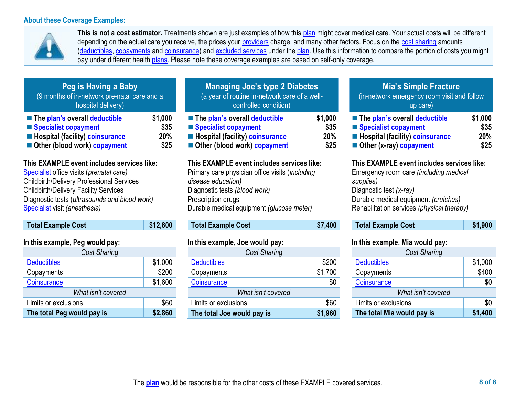#### **About these Coverage Examples:**



**This is not a cost estimator.** Treatments shown are just examples of how this [plan](https://www.healthcare.gov/sbc-glossary/#plan) might cover medical care. Your actual costs will be different depending on the actual care you receive, the prices your [providers](https://www.healthcare.gov/sbc-glossary/#provider) charge, and many other factors. Focus on the [cost sharing](https://www.healthcare.gov/sbc-glossary/#cost-sharing) amounts [\(deductibles,](https://www.healthcare.gov/sbc-glossary/#deductible) [copayments](https://www.healthcare.gov/sbc-glossary/#copayment) an[d coinsurance\)](https://www.healthcare.gov/sbc-glossary/#coinsurance) and [excluded services](https://www.healthcare.gov/sbc-glossary/#excluded-services) under the [plan.](https://www.healthcare.gov/sbc-glossary/#plan) Use this information to compare the portion of costs you might pay under different health [plans.](https://www.healthcare.gov/sbc-glossary/#plan) Please note these coverage examples are based on self-only coverage.

| Peg is Having a Baby<br>(9 months of in-network pre-natal care and a<br>hospital delivery) |         |
|--------------------------------------------------------------------------------------------|---------|
| The plan's overall deductible                                                              | \$1,000 |
| Specialist copayment                                                                       | \$35    |
| <b>E</b> Hospital (facility) <b>coinsurance</b>                                            | 20%     |
| Other (blood work) copayment                                                               | \$25    |

## **This EXAMPLE event includes services like:**

[Specialist](https://www.healthcare.gov/sbc-glossary/#specialist) office visits (*prenatal care)* Childbirth/Delivery Professional Services Childbirth/Delivery Facility Services Diagnostic tests (*ultrasounds and blood work)* [Specialist](https://www.healthcare.gov/sbc-glossary/#specialist) visit *(anesthesia)* 

| <b>Total Example Cost</b> | \$12,800 |
|---------------------------|----------|
|                           |          |

#### **In this example, Peg would pay:**

| <b>Cost Sharing</b>        |         |  |  |
|----------------------------|---------|--|--|
| <b>Deductibles</b>         | \$1,000 |  |  |
| Copayments                 | \$200   |  |  |
| Coinsurance                | \$1,600 |  |  |
| What isn't covered         |         |  |  |
| Limits or exclusions       | \$60    |  |  |
| The total Peg would pay is | \$2,860 |  |  |

| <b>Managing Joe's type 2 Diabetes</b><br>(a year of routine in-network care of a well-<br>controlled condition) |                 |  |
|-----------------------------------------------------------------------------------------------------------------|-----------------|--|
| ■ The plan's overall deductible<br>Specialist copayment                                                         | \$1,000<br>\$35 |  |
| <b>Exercise Hospital (facility) coinsurance</b>                                                                 | 20%             |  |
| Other (blood work) copayment                                                                                    | \$25            |  |

#### **This EXAMPLE event includes services like:**

Primary care physician office visits (*including disease education)* Diagnostic tests *(blood work)* Prescription drugs Durable medical equipment *(glucose meter)* 

# **Total Example Cost \$7,400**

#### **In this example, Joe would pay:**

| <b>Cost Sharing</b>        |         |  |  |
|----------------------------|---------|--|--|
| <b>Deductibles</b>         | \$200   |  |  |
| Copayments                 | \$1,700 |  |  |
| Coinsurance                | \$0     |  |  |
| What isn't covered         |         |  |  |
| Limits or exclusions       | \$60    |  |  |
| The total Joe would pay is | \$1,960 |  |  |

# **Mia's Simple Fracture**

(in-network emergency room visit and follow up care)

| ■ The plan's overall deductible                 | \$1,000 |
|-------------------------------------------------|---------|
| ■ Specialist copayment                          | \$35    |
| <b>E</b> Hospital (facility) <b>coinsurance</b> | 20%     |
| Other (x-ray) copayment                         | \$25    |

#### **This EXAMPLE event includes services like:**

Emergency room care *(including medical supplies)* Diagnostic test *(x-ray)* Durable medical equipment *(crutches)* Rehabilitation services *(physical therapy)*

**Total Example Cost \$1,900** 

#### **In this example, Mia would pay:**

| <b>Cost Sharing</b>        |         |
|----------------------------|---------|
| <b>Deductibles</b>         | \$1,000 |
| Copayments                 | \$400   |
| Coinsurance                | \$0     |
| What isn't covered         |         |
| Limits or exclusions       | \$0     |
| The total Mia would pay is | \$1,400 |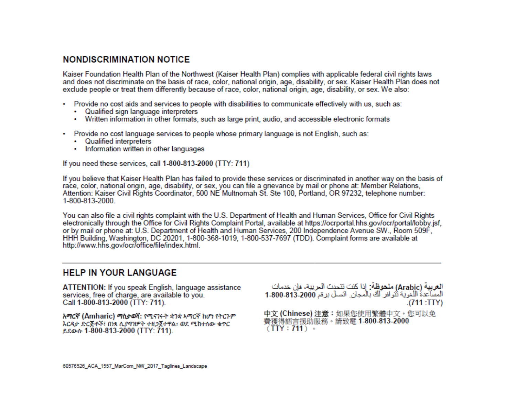# **NONDISCRIMINATION NOTICE**

Kaiser Foundation Health Plan of the Northwest (Kaiser Health Plan) complies with applicable federal civil rights laws and does not discriminate on the basis of race, color, national origin, age, disability, or sex. Kaiser Health Plan does not exclude people or treat them differently because of race, color, national origin, age, disability, or sex. We also:

- Provide no cost aids and services to people with disabilities to communicate effectively with us, such as:
	- Qualified sign language interpreters
	- Written information in other formats, such as large print, audio, and accessible electronic formats
- Provide no cost language services to people whose primary language is not English, such as:
	- Qualified interpreters
	- Information written in other languages

If you need these services, call 1-800-813-2000 (TTY: 711)

If you believe that Kaiser Health Plan has failed to provide these services or discriminated in another way on the basis of race, color, national origin, age, disability, or sex, you can file a grievance by mail or phone at: Member Relations, Attention: Kaiser Civil Rights Coordinator, 500 NE Multnomah St. Ste 100, Portland, OR 97232, telephone number: 1-800-813-2000.

You can also file a civil rights complaint with the U.S. Department of Health and Human Services, Office for Civil Rights electronically through the Office for Civil Rights Complaint Portal, available at https://ocrportal.hhs.gov/ocr/portal/lobby.jsf, or by mail or phone at: U.S. Department of Health and Human Services, 200 Independence Avenue SW., Room 509F, HHH Building, Washington, DC 20201, 1-800-368-1019, 1-800-537-7697 (TDD). Complaint forms are available at http://www.hhs.gov/ocr/office/file/index.html.

## **HELP IN YOUR LANGUAGE**

ATTENTION: If you speak English, language assistance services, free of charge, are available to you. Call 1-800-813-2000 (TTY: 711).

አማርኛ (Amharic) ማስታወሻ: የሚናገሩት ቋንቋ አማርኛ ከሆነ የትርጉም እርዳታ ድርጅቶች፣ በነጻ ሲያባዝዎት ተዘጋጀተዋል፡ ወደ ሚከተለው ቁጥር ይደውሱ 1-800-813-2000 (TTY: 711).

العربية (Arabic) ملحوظة: إذا كنت تتحدث الحريبة، فإن خدمات المساعدة اللغوية ثنوافر لك بالمجان. انصل برعَم 2000-813-1-800 .(711:TTY)

中文 (Chinese) 注意:如果您使用繁體中文,您可以免 費獲得語言援助服務。請致電 1-800-813-2000  $(TTY: 711)$